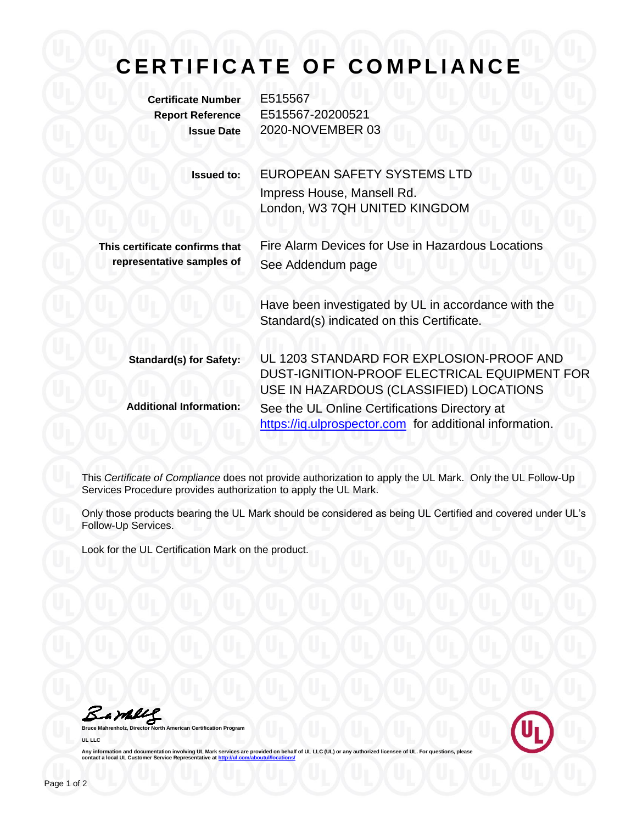## **C E R T I F I C A T E O F C O M P L I A N C E**

**Certificate Number** E515567

**Report Reference** E515567-20200521 **Issue Date** 2020-NOVEMBER 03

> **Issued to:** EUROPEAN SAFETY SYSTEMS LTD Impress House, Mansell Rd. London, W3 7QH UNITED KINGDOM

**This certificate confirms that representative samples of**

Fire Alarm Devices for Use in Hazardous Locations See Addendum page

> Have been investigated by UL in accordance with the Standard(s) indicated on this Certificate.

**Standard(s) for Safety:** UL 1203 STANDARD FOR EXPLOSION-PROOF AND DUST-IGNITION-PROOF ELECTRICAL EQUIPMENT FOR USE IN HAZARDOUS (CLASSIFIED) LOCATIONS **Additional Information:** See the UL Online Certifications Directory at https://iq.ulprospector.com for additional information.

This *Certificate of Compliance* does not provide authorization to apply the UL Mark. Only the UL Follow-Up Services Procedure provides authorization to apply the UL Mark.

Only those products bearing the UL Mark should be considered as being UL Certified and covered under UL's Follow-Up Services.

Look for the UL Certification Mark on the product.

Bambly

**American Certification Program UL LLC**



Any information and documentation involving UL Mark services are provided on behalf of UL LLC (UL) or any authorized licensee of UL. For questions, please<br>contact a local UL Customer Service Representative at <u>http://ul.co</u>